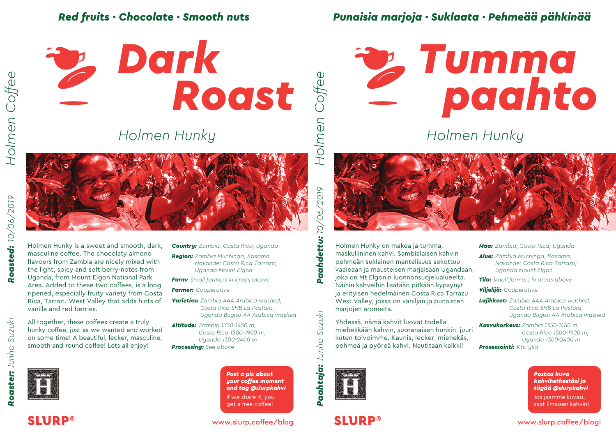#### *Red fruits · Chocolate · Smooth nuts*



*Holmen Hunky*



Holmen Hunky is a sweet and smooth, dark, masculine coffee. The chocolaty almond flavours from Zambia are nicely mixed with the light, spicy and soft berry-notes from Uganda, from Mount Elgon National Park Area. Added to these two coffees, is a long ripened, especially fruity variety from Costa Rica, Tarrazu West Valley that adds hints of vanilla and red berries.

All together, these coffees create a truly hunky coffee, just as we wanted and worked on some time! A beautiful, lecker, masculine, smooth and round coffee! Lets all enjoy!



*Punaisia marjoja · Suklaata · Pehmeää pähkinää*

# *paahto* **2** Tumma

*Holmen Hunky*



Holmen Hunky on makea ja tumma, maskuliininen kahvi. Sambialaisen kahvin pehmeän suklainen mantelisuus sekottuu vaaleaan ja mausteisen marjaisaan Ugandaan, joka on Mt Elgonin luonnonsuojelualueelta. Näihin kahveihin lisätään pitkään kypsynyt ja erityisen hedelmäinen Costa Rica Tarrazu West Valley, jossa on vaniljan ja punaisten marjojen aromeita.

Yhdessä, nämä kahvit luovat todella miehekkään kahvin, suoranaisen hunkin, juuri kuten toivoimme. Kaunis, lecker, miehekäs, pehmeä ja pyöreä kahvi. Nautitaan kaikki!



**SLURP®** 

*Maa: Zambia, Costa Rica, Uganda*

*Alue: Zambia Muchinga, Kasama, Nakonde; Costa Rica Tarrazu; Uganda Mount Elgon*

*Small farmers in areas above Tila:*

*Viljelijä: Cooperative*

*Lajikkeet: Zambia AAA Arabica washed, Costa Rica SHB La Pastora, Uganda Bugisu AA Arabica washed*

*Kasvukorkeus: Zambia 1350-1450 m, Prosessointi: Kts. yllä Costa Rica 1500-1900 m, Uganda 1300-2400 m*

> *Postaa kuva kahvihetkestäsi ja tägää @slurpkahvi* Jos jaamme kuvasi, saat ilmaisen kahvin!

*Holmen Coffee*

Holmen Coffee

Roasted: 10/06/2019

*Country: Zambia, Costa Rica, Uganda Region: Zambia Muchinga, Kasama, Nakonde; Costa Rica Tarrazu;* 

*Farm: Small farmers in areas above*

*Uganda Mount Elgon*

*Farmer: Cooperative*

- *Varieties: Zambia AAA Arabica washed, Costa Rica SHB La Pastora, Uganda Bugisu AA Arabica washed*
- *Altitude: Zambia 1350-1450 m, Processing: See above Costa Rica 1500-1900 m, Uganda 1300-2400 m*

*Post a pic about your coffee moment and tag @slurpkahvi* If we share it, you get a free coffee!

www.slurp.coffee/blog

**Paahtaja:** Junho Suzuki

Coffee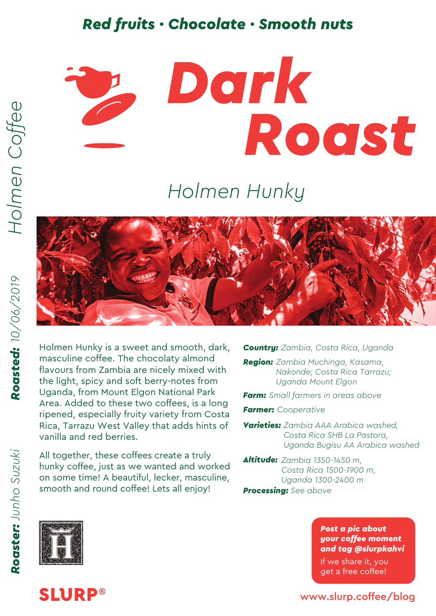### *Red fruits · Chocolate · Smooth nuts*



## *Holmen Hunky*



Holmen Hunky is a sweet and smooth, dark, masculine coffee. The chocolaty almond flavours from Zambia are nicely mixed with the light, spicy and soft berry-notes from Uganda, from Mount Elgon National Park Area. Added to these two coffees, is a long ripened, especially fruity variety from Costa Rica, Tarrazu West Valley that adds hints of vanilla and red berries.

All together, these coffees create a truly hunky coffee, just as we wanted and worked on some time! A beautiful, lecker, masculine, smooth and round coffee! Lets all enjoy!

*Country: Zambia, Costa Rica, Uganda*

*Region: Zambia Muchinga, Kasama, Nakonde; Costa Rica Tarrazu; Uganda Mount Elgon*

*Farm: Small farmers in areas above*

*Farmer: Cooperative*

*Varieties: Zambia AAA Arabica washed, Costa Rica SHB La Pastora, Uganda Bugisu AA Arabica washed*

*Altitude: Zambia 1350-1450 m, Processing: See above Costa Rica 1500-1900 m, Uganda 1300-2400 m*

> *Post a pic about your coffee moment*

*and tag @slurpkahvi* If we share it, you get a free coffee!



**SLURP®** 

www.slurp.coffee/blog